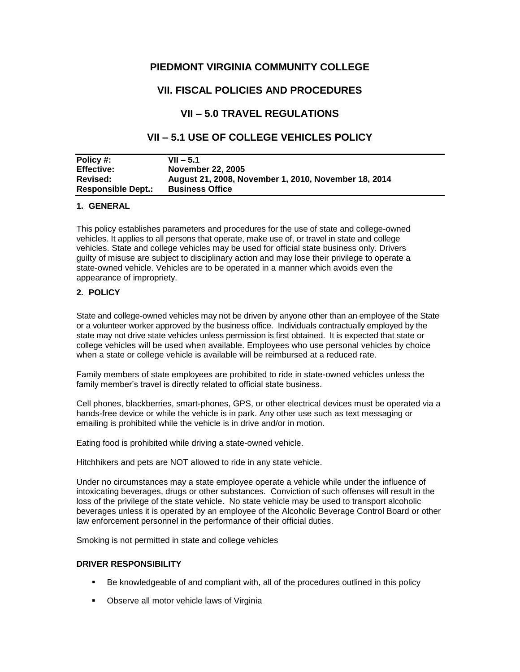# **PIEDMONT VIRGINIA COMMUNITY COLLEGE**

# **VII. FISCAL POLICIES AND PROCEDURES**

# **VII – 5.0 TRAVEL REGULATIONS**

# **VII – 5.1 USE OF COLLEGE VEHICLES POLICY**

| Policy #:                 | $VII - 5.1$                                          |
|---------------------------|------------------------------------------------------|
| <b>Effective:</b>         | November 22, 2005                                    |
| <b>Revised:</b>           | August 21, 2008, November 1, 2010, November 18, 2014 |
| <b>Responsible Dept.:</b> | <b>Business Office</b>                               |

## **1. GENERAL**

This policy establishes parameters and procedures for the use of state and college-owned vehicles. It applies to all persons that operate, make use of, or travel in state and college vehicles. State and college vehicles may be used for official state business only. Drivers guilty of misuse are subject to disciplinary action and may lose their privilege to operate a state-owned vehicle. Vehicles are to be operated in a manner which avoids even the appearance of impropriety.

## **2. POLICY**

State and college-owned vehicles may not be driven by anyone other than an employee of the State or a volunteer worker approved by the business office. Individuals contractually employed by the state may not drive state vehicles unless permission is first obtained. It is expected that state or college vehicles will be used when available. Employees who use personal vehicles by choice when a state or college vehicle is available will be reimbursed at a reduced rate.

Family members of state employees are prohibited to ride in state-owned vehicles unless the family member's travel is directly related to official state business.

Cell phones, blackberries, smart-phones, GPS, or other electrical devices must be operated via a hands-free device or while the vehicle is in park. Any other use such as text messaging or emailing is prohibited while the vehicle is in drive and/or in motion.

Eating food is prohibited while driving a state-owned vehicle.

Hitchhikers and pets are NOT allowed to ride in any state vehicle.

Under no circumstances may a state employee operate a vehicle while under the influence of intoxicating beverages, drugs or other substances. Conviction of such offenses will result in the loss of the privilege of the state vehicle. No state vehicle may be used to transport alcoholic beverages unless it is operated by an employee of the Alcoholic Beverage Control Board or other law enforcement personnel in the performance of their official duties.

Smoking is not permitted in state and college vehicles

## **DRIVER RESPONSIBILITY**

- Be knowledgeable of and compliant with, all of the procedures outlined in this policy
- **-** Observe all motor vehicle laws of Virginia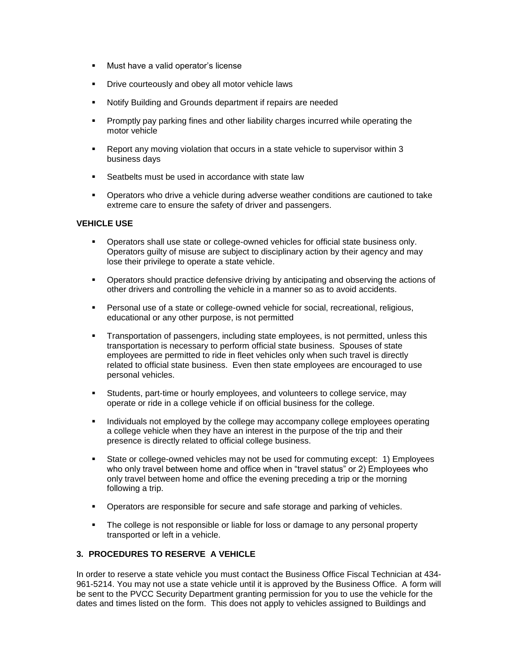- **Must have a valid operator's license**
- **•** Drive courteously and obey all motor vehicle laws
- Notify Building and Grounds department if repairs are needed
- Promptly pay parking fines and other liability charges incurred while operating the motor vehicle
- Report any moving violation that occurs in a state vehicle to supervisor within 3 business days
- **Seatbelts must be used in accordance with state law**
- Operators who drive a vehicle during adverse weather conditions are cautioned to take extreme care to ensure the safety of driver and passengers.

## **VEHICLE USE**

- Operators shall use state or college-owned vehicles for official state business only. Operators guilty of misuse are subject to disciplinary action by their agency and may lose their privilege to operate a state vehicle.
- Operators should practice defensive driving by anticipating and observing the actions of other drivers and controlling the vehicle in a manner so as to avoid accidents.
- Personal use of a state or college-owned vehicle for social, recreational, religious, educational or any other purpose, is not permitted
- Transportation of passengers, including state employees, is not permitted, unless this transportation is necessary to perform official state business. Spouses of state employees are permitted to ride in fleet vehicles only when such travel is directly related to official state business. Even then state employees are encouraged to use personal vehicles.
- Students, part-time or hourly employees, and volunteers to college service, may operate or ride in a college vehicle if on official business for the college.
- Individuals not employed by the college may accompany college employees operating a college vehicle when they have an interest in the purpose of the trip and their presence is directly related to official college business.
- State or college-owned vehicles may not be used for commuting except: 1) Employees who only travel between home and office when in "travel status" or 2) Employees who only travel between home and office the evening preceding a trip or the morning following a trip.
- Operators are responsible for secure and safe storage and parking of vehicles.
- The college is not responsible or liable for loss or damage to any personal property transported or left in a vehicle.

## **3. PROCEDURES TO RESERVE A VEHICLE**

In order to reserve a state vehicle you must contact the Business Office Fiscal Technician at 434- 961-5214. You may not use a state vehicle until it is approved by the Business Office. A form will be sent to the PVCC Security Department granting permission for you to use the vehicle for the dates and times listed on the form. This does not apply to vehicles assigned to Buildings and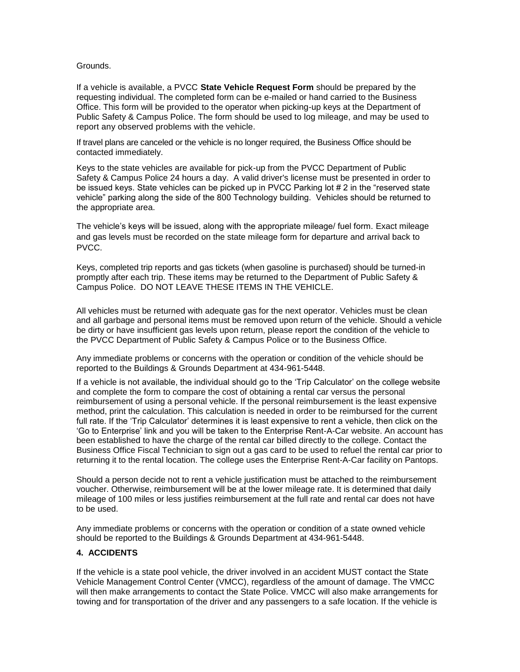## Grounds.

If a vehicle is available, a PVCC **State Vehicle Request Form** should be prepared by the requesting individual. The completed form can be e-mailed or hand carried to the Business Office. This form will be provided to the operator when picking-up keys at the Department of Public Safety & Campus Police. The form should be used to log mileage, and may be used to report any observed problems with the vehicle.

If travel plans are canceled or the vehicle is no longer required, the Business Office should be contacted immediately.

Keys to the state vehicles are available for pick-up from the PVCC Department of Public Safety & Campus Police 24 hours a day. A valid driver's license must be presented in order to be issued keys. State vehicles can be picked up in PVCC Parking lot # 2 in the "reserved state vehicle" parking along the side of the 800 Technology building. Vehicles should be returned to the appropriate area.

The vehicle's keys will be issued, along with the appropriate mileage/ fuel form. Exact mileage and gas levels must be recorded on the state mileage form for departure and arrival back to PVCC.

Keys, completed trip reports and gas tickets (when gasoline is purchased) should be turned-in promptly after each trip. These items may be returned to the Department of Public Safety & Campus Police. DO NOT LEAVE THESE ITEMS IN THE VEHICLE.

All vehicles must be returned with adequate gas for the next operator. Vehicles must be clean and all garbage and personal items must be removed upon return of the vehicle. Should a vehicle be dirty or have insufficient gas levels upon return, please report the condition of the vehicle to the PVCC Department of Public Safety & Campus Police or to the Business Office.

Any immediate problems or concerns with the operation or condition of the vehicle should be reported to the Buildings & Grounds Department at 434-961-5448.

If a vehicle is not available, the individual should go to the 'Trip Calculator' on the college website and complete the form to compare the cost of obtaining a rental car versus the personal reimbursement of using a personal vehicle. If the personal reimbursement is the least expensive method, print the calculation. This calculation is needed in order to be reimbursed for the current full rate. If the 'Trip Calculator' determines it is least expensive to rent a vehicle, then click on the 'Go to Enterprise' link and you will be taken to the Enterprise Rent-A-Car website. An account has been established to have the charge of the rental car billed directly to the college. Contact the Business Office Fiscal Technician to sign out a gas card to be used to refuel the rental car prior to returning it to the rental location. The college uses the Enterprise Rent-A-Car facility on Pantops.

Should a person decide not to rent a vehicle justification must be attached to the reimbursement voucher. Otherwise, reimbursement will be at the lower mileage rate. It is determined that daily mileage of 100 miles or less justifies reimbursement at the full rate and rental car does not have to be used.

Any immediate problems or concerns with the operation or condition of a state owned vehicle should be reported to the Buildings & Grounds Department at 434-961-5448.

## **4. ACCIDENTS**

If the vehicle is a state pool vehicle, the driver involved in an accident MUST contact the State Vehicle Management Control Center (VMCC), regardless of the amount of damage. The VMCC will then make arrangements to contact the State Police. VMCC will also make arrangements for towing and for transportation of the driver and any passengers to a safe location. If the vehicle is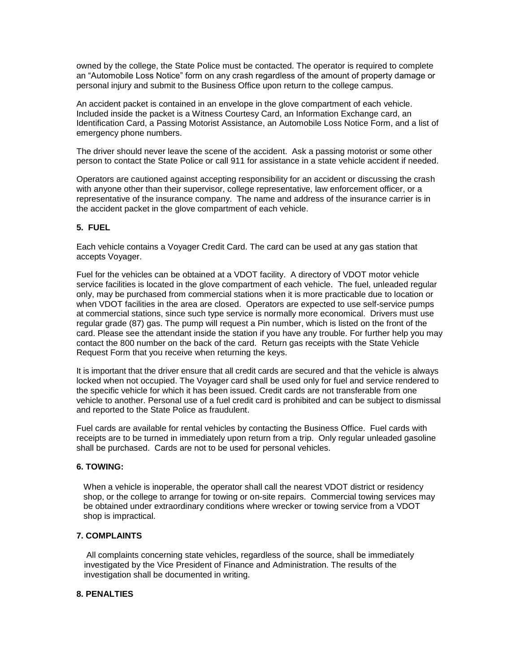owned by the college, the State Police must be contacted. The operator is required to complete an "Automobile Loss Notice" form on any crash regardless of the amount of property damage or personal injury and submit to the Business Office upon return to the college campus.

An accident packet is contained in an envelope in the glove compartment of each vehicle. Included inside the packet is a Witness Courtesy Card, an Information Exchange card, an Identification Card, a Passing Motorist Assistance, an Automobile Loss Notice Form, and a list of emergency phone numbers.

The driver should never leave the scene of the accident. Ask a passing motorist or some other person to contact the State Police or call 911 for assistance in a state vehicle accident if needed.

Operators are cautioned against accepting responsibility for an accident or discussing the crash with anyone other than their supervisor, college representative, law enforcement officer, or a representative of the insurance company. The name and address of the insurance carrier is in the accident packet in the glove compartment of each vehicle.

## **5. FUEL**

Each vehicle contains a Voyager Credit Card. The card can be used at any gas station that accepts Voyager.

Fuel for the vehicles can be obtained at a VDOT facility. A directory of VDOT motor vehicle service facilities is located in the glove compartment of each vehicle. The fuel, unleaded regular only, may be purchased from commercial stations when it is more practicable due to location or when VDOT facilities in the area are closed. Operators are expected to use self-service pumps at commercial stations, since such type service is normally more economical. Drivers must use regular grade (87) gas. The pump will request a Pin number, which is listed on the front of the card. Please see the attendant inside the station if you have any trouble. For further help you may contact the 800 number on the back of the card. Return gas receipts with the State Vehicle Request Form that you receive when returning the keys.

It is important that the driver ensure that all credit cards are secured and that the vehicle is always locked when not occupied. The Voyager card shall be used only for fuel and service rendered to the specific vehicle for which it has been issued. Credit cards are not transferable from one vehicle to another. Personal use of a fuel credit card is prohibited and can be subject to dismissal and reported to the State Police as fraudulent.

Fuel cards are available for rental vehicles by contacting the Business Office. Fuel cards with receipts are to be turned in immediately upon return from a trip. Only regular unleaded gasoline shall be purchased. Cards are not to be used for personal vehicles.

## **6. TOWING:**

When a vehicle is inoperable, the operator shall call the nearest VDOT district or residency shop, or the college to arrange for towing or on-site repairs. Commercial towing services may be obtained under extraordinary conditions where wrecker or towing service from a VDOT shop is impractical.

## **7. COMPLAINTS**

All complaints concerning state vehicles, regardless of the source, shall be immediately investigated by the Vice President of Finance and Administration. The results of the investigation shall be documented in writing.

## **8. PENALTIES**